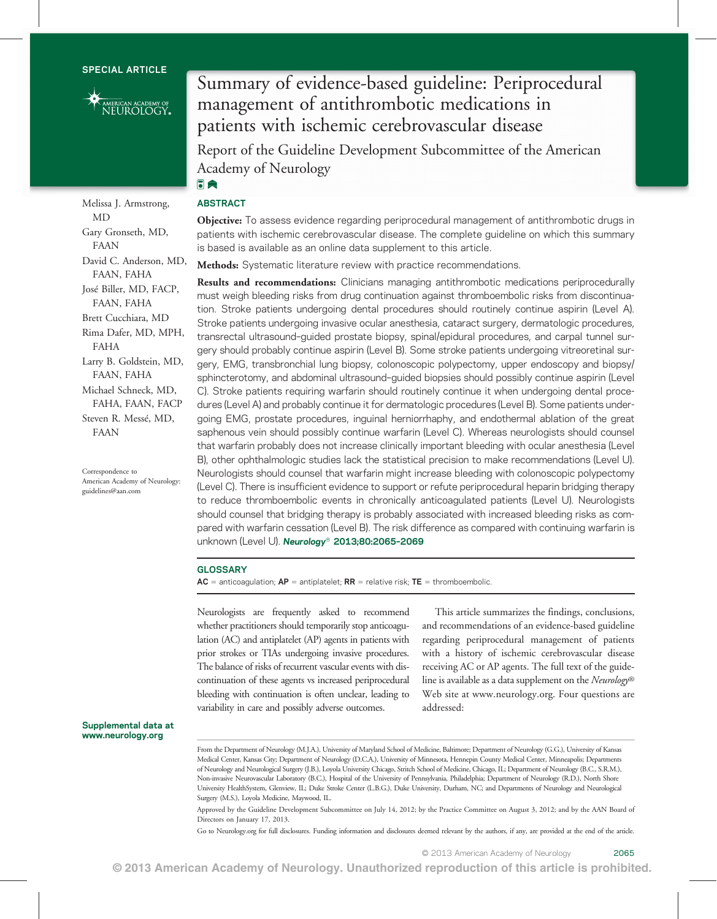

Melissa J. Armstrong, MD Gary Gronseth, MD, FAAN David C. Anderson, MD, FAAN, FAHA José Biller, MD, FACP, FAAN, FAHA Brett Cucchiara, MD Rima Dafer, MD, MPH, FAHA Larry B. Goldstein, MD, FAAN, FAHA Michael Schneck, MD, FAHA, FAAN, FACP Steven R. Messé, MD, FAAN

Correspondence to American Academy of Neurology: [guidelines@aan.com](mailto:guidelines@aan.com)

# Summary of evidence-based guideline: Periprocedural management of antithrombotic medications in patients with ischemic cerebrovascular disease

Report of the Guideline Development Subcommittee of the American Academy of Neurology 同意

# ABSTRACT

**Objective:** To assess evidence regarding periprocedural management of antithrombotic drugs in patients with ischemic cerebrovascular disease. The complete guideline on which this summary is based is available as an online data supplement to this article.

Methods: Systematic literature review with practice recommendations.

Results and recommendations: Clinicians managing antithrombotic medications periprocedurally must weigh bleeding risks from drug continuation against thromboembolic risks from discontinuation. Stroke patients undergoing dental procedures should routinely continue aspirin (Level A). Stroke patients undergoing invasive ocular anesthesia, cataract surgery, dermatologic procedures, transrectal ultrasound–guided prostate biopsy, spinal/epidural procedures, and carpal tunnel surgery should probably continue aspirin (Level B). Some stroke patients undergoing vitreoretinal surgery, EMG, transbronchial lung biopsy, colonoscopic polypectomy, upper endoscopy and biopsy/ sphincterotomy, and abdominal ultrasound–guided biopsies should possibly continue aspirin (Level C). Stroke patients requiring warfarin should routinely continue it when undergoing dental procedures (Level A) and probably continue it for dermatologic procedures (Level B). Some patients undergoing EMG, prostate procedures, inguinal herniorrhaphy, and endothermal ablation of the great saphenous vein should possibly continue warfarin (Level C). Whereas neurologists should counsel that warfarin probably does not increase clinically important bleeding with ocular anesthesia (Level B), other ophthalmologic studies lack the statistical precision to make recommendations (Level U). Neurologists should counsel that warfarin might increase bleeding with colonoscopic polypectomy (Level C). There is insufficient evidence to support or refute periprocedural heparin bridging therapy to reduce thromboembolic events in chronically anticoagulated patients (Level U). Neurologists should counsel that bridging therapy is probably associated with increased bleeding risks as compared with warfarin cessation (Level B). The risk difference as compared with continuing warfarin is unknown (Level U). Neurology<sup>®</sup> 2013;80:2065-2069

#### GLOSSARY

 $AC =$  anticoagulation;  $AP =$  antiplatelet;  $RR =$  relative risk;  $TE =$  thromboembolic.

Neurologists are frequently asked to recommend whether practitioners should temporarily stop anticoagulation (AC) and antiplatelet (AP) agents in patients with prior strokes or TIAs undergoing invasive procedures. The balance of risks of recurrent vascular events with discontinuation of these agents vs increased periprocedural bleeding with continuation is often unclear, leading to variability in care and possibly adverse outcomes.

This article summarizes the findings, conclusions, and recommendations of an evidence-based guideline regarding periprocedural management of patients with a history of ischemic cerebrovascular disease receiving AC or AP agents. The full text of the guideline is available as a data supplement on the Neurology® Web site at [www.neurology.org.](http://www.neurology.org) Four questions are addressed:

#### Supplemental data at [www.neurology.org](http://www.neurology.org)

From the Department of Neurology (M.J.A.), University of Maryland School of Medicine, Baltimore; Department of Neurology (G.G.), University of Kansas Medical Center, Kansas City; Department of Neurology (D.C.A.), University of Minnesota, Hennepin County Medical Center, Minneapolis; Departments of Neurology and Neurological Surgery (J.B.), Loyola University Chicago, Stritch School of Medicine, Chicago, IL; Department of Neurology (B.C., S.R.M.), Non-invasive Neurovascular Laboratory (B.C.), Hospital of the University of Pennsylvania, Philadelphia; Department of Neurology (R.D.), North Shore University HealthSystem, Glenview, IL; Duke Stroke Center (L.B.G.), Duke University, Durham, NC; and Departments of Neurology and Neurological Surgery (M.S.), Loyola Medicine, Maywood, IL.

Approved by the Guideline Development Subcommittee on July 14, 2012; by the Practice Committee on August 3, 2012; and by the AAN Board of Directors on January 17, 2013.

Go to [Neurology.org](http://neurology.<?show $132#?>org/) for full disclosures. Funding information and disclosures deemed relevant by the authors, if any, are provided at the end of the article.

© 2013 American Academy of Neurology. Unauthorized reproduction of this article is prohibited.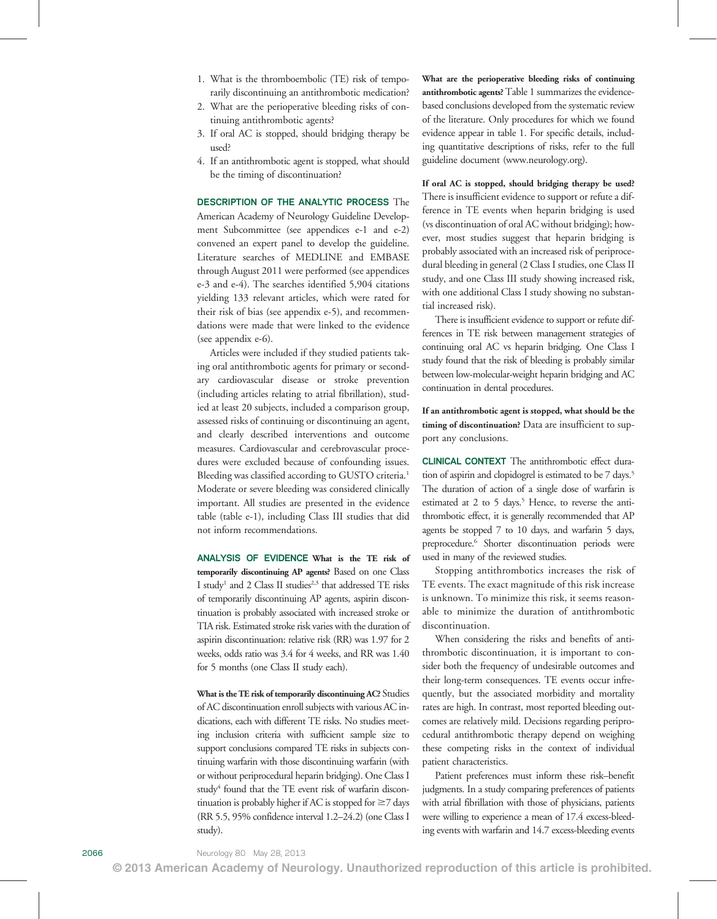- 1. What is the thromboembolic (TE) risk of temporarily discontinuing an antithrombotic medication?
- 2. What are the perioperative bleeding risks of continuing antithrombotic agents?
- 3. If oral AC is stopped, should bridging therapy be used?
- 4. If an antithrombotic agent is stopped, what should be the timing of discontinuation?

DESCRIPTION OF THE ANALYTIC PROCESS The American Academy of Neurology Guideline Development Subcommittee (see appendices e-1 and e-2) convened an expert panel to develop the guideline. Literature searches of MEDLINE and EMBASE through August 2011 were performed (see appendices e-3 and e-4). The searches identified 5,904 citations yielding 133 relevant articles, which were rated for their risk of bias (see appendix e-5), and recommendations were made that were linked to the evidence (see appendix e-6).

Articles were included if they studied patients taking oral antithrombotic agents for primary or secondary cardiovascular disease or stroke prevention (including articles relating to atrial fibrillation), studied at least 20 subjects, included a comparison group, assessed risks of continuing or discontinuing an agent, and clearly described interventions and outcome measures. Cardiovascular and cerebrovascular procedures were excluded because of confounding issues. Bleeding was classified according to GUSTO criteria.<sup>1</sup> Moderate or severe bleeding was considered clinically important. All studies are presented in the evidence table (table e-1), including Class III studies that did not inform recommendations.

ANALYSIS OF EVIDENCE What is the TE risk of temporarily discontinuing AP agents? Based on one Class I study<sup>1</sup> and 2 Class II studies<sup>2,3</sup> that addressed TE risks of temporarily discontinuing AP agents, aspirin discontinuation is probably associated with increased stroke or TIA risk. Estimated stroke risk varies with the duration of aspirin discontinuation: relative risk (RR) was 1.97 for 2 weeks, odds ratio was 3.4 for 4 weeks, and RR was 1.40 for 5 months (one Class II study each).

What is the TE risk of temporarily discontinuing AC? Studies of AC discontinuation enroll subjects with various AC indications, each with different TE risks. No studies meeting inclusion criteria with sufficient sample size to support conclusions compared TE risks in subjects continuing warfarin with those discontinuing warfarin (with or without periprocedural heparin bridging). One Class I study<sup>4</sup> found that the TE event risk of warfarin discontinuation is probably higher if AC is stopped for  $\geq$ 7 days (RR 5.5, 95% confidence interval 1.2–24.2) (one Class I study).

What are the perioperative bleeding risks of continuing antithrombotic agents? Table 1 summarizes the evidencebased conclusions developed from the systematic review of the literature. Only procedures for which we found evidence appear in table 1. For specific details, including quantitative descriptions of risks, refer to the full guideline document [\(www.neurology.org\)](http://www.neurology.org).

If oral AC is stopped, should bridging therapy be used? There is insufficient evidence to support or refute a difference in TE events when heparin bridging is used (vs discontinuation of oral AC without bridging); however, most studies suggest that heparin bridging is probably associated with an increased risk of periprocedural bleeding in general (2 Class I studies, one Class II study, and one Class III study showing increased risk, with one additional Class I study showing no substantial increased risk).

There is insufficient evidence to support or refute differences in TE risk between management strategies of continuing oral AC vs heparin bridging. One Class I study found that the risk of bleeding is probably similar between low-molecular-weight heparin bridging and AC continuation in dental procedures.

If an antithrombotic agent is stopped, what should be the timing of discontinuation? Data are insufficient to support any conclusions.

CLINICAL CONTEXT The antithrombotic effect duration of aspirin and clopidogrel is estimated to be 7 days.<sup>5</sup> The duration of action of a single dose of warfarin is estimated at 2 to 5 days.<sup>5</sup> Hence, to reverse the antithrombotic effect, it is generally recommended that AP agents be stopped 7 to 10 days, and warfarin 5 days, preprocedure.6 Shorter discontinuation periods were used in many of the reviewed studies.

Stopping antithrombotics increases the risk of TE events. The exact magnitude of this risk increase is unknown. To minimize this risk, it seems reasonable to minimize the duration of antithrombotic discontinuation.

When considering the risks and benefits of antithrombotic discontinuation, it is important to consider both the frequency of undesirable outcomes and their long-term consequences. TE events occur infrequently, but the associated morbidity and mortality rates are high. In contrast, most reported bleeding outcomes are relatively mild. Decisions regarding periprocedural antithrombotic therapy depend on weighing these competing risks in the context of individual patient characteristics.

Patient preferences must inform these risk–benefit judgments. In a study comparing preferences of patients with atrial fibrillation with those of physicians, patients were willing to experience a mean of 17.4 excess-bleeding events with warfarin and 14.7 excess-bleeding events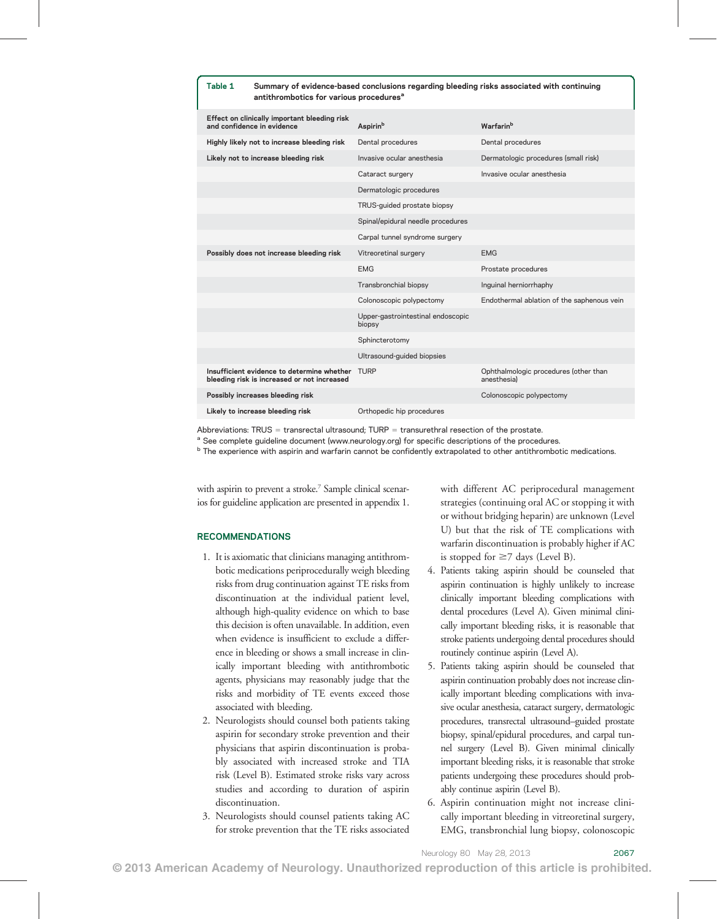| Summary of evidence-based conclusions regarding bleeding risks associated with continuing<br>Table 1<br>antithrombotics for various procedures <sup>a</sup> |                                             |                                                      |
|-------------------------------------------------------------------------------------------------------------------------------------------------------------|---------------------------------------------|------------------------------------------------------|
| Effect on clinically important bleeding risk<br>and confidence in evidence                                                                                  | Aspirin <sup>b</sup>                        | Warfarin <sup>b</sup>                                |
| Highly likely not to increase bleeding risk                                                                                                                 | Dental procedures                           | Dental procedures                                    |
| Likely not to increase bleeding risk                                                                                                                        | Invasive ocular anesthesia                  | Dermatologic procedures (small risk)                 |
|                                                                                                                                                             | Cataract surgery                            | Invasive ocular anesthesia                           |
|                                                                                                                                                             | Dermatologic procedures                     |                                                      |
|                                                                                                                                                             | TRUS-guided prostate biopsy                 |                                                      |
|                                                                                                                                                             | Spinal/epidural needle procedures           |                                                      |
|                                                                                                                                                             | Carpal tunnel syndrome surgery              |                                                      |
| Possibly does not increase bleeding risk                                                                                                                    | Vitreoretinal surgery                       | <b>EMG</b>                                           |
|                                                                                                                                                             | <b>EMG</b>                                  | Prostate procedures                                  |
|                                                                                                                                                             | Transbronchial biopsy                       | Inguinal herniorrhaphy                               |
|                                                                                                                                                             | Colonoscopic polypectomy                    | Endothermal ablation of the saphenous vein           |
|                                                                                                                                                             | Upper-gastrointestinal endoscopic<br>biopsy |                                                      |
|                                                                                                                                                             | Sphincterotomy                              |                                                      |
|                                                                                                                                                             | Ultrasound-guided biopsies                  |                                                      |
| Insufficient evidence to determine whether<br>bleeding risk is increased or not increased                                                                   | <b>TURP</b>                                 | Ophthalmologic procedures (other than<br>anesthesia) |
| Possibly increases bleeding risk                                                                                                                            |                                             | Colonoscopic polypectomy                             |
| Likely to increase bleeding risk                                                                                                                            | Orthopedic hip procedures                   |                                                      |

Abbreviations: TRUS = transrectal ultrasound; TURP = transurethral resection of the prostate.

<sup>a</sup> See complete guideline document ([www.neurology.org](http://www.neurology.org)) for specific descriptions of the procedures.

<sup>b</sup> The experience with aspirin and warfarin cannot be confidently extrapolated to other antithrombotic medications.

with aspirin to prevent a stroke.<sup>7</sup> Sample clinical scenarios for guideline application are presented in appendix 1.

### RECOMMENDATIONS

- 1. It is axiomatic that clinicians managing antithrombotic medications periprocedurally weigh bleeding risks from drug continuation against TE risks from discontinuation at the individual patient level, although high-quality evidence on which to base this decision is often unavailable. In addition, even when evidence is insufficient to exclude a difference in bleeding or shows a small increase in clinically important bleeding with antithrombotic agents, physicians may reasonably judge that the risks and morbidity of TE events exceed those associated with bleeding.
- 2. Neurologists should counsel both patients taking aspirin for secondary stroke prevention and their physicians that aspirin discontinuation is probably associated with increased stroke and TIA risk (Level B). Estimated stroke risks vary across studies and according to duration of aspirin discontinuation.
- 3. Neurologists should counsel patients taking AC for stroke prevention that the TE risks associated

with different AC periprocedural management strategies (continuing oral AC or stopping it with or without bridging heparin) are unknown (Level U) but that the risk of TE complications with warfarin discontinuation is probably higher if AC is stopped for  $\geq$  7 days (Level B).

- 4. Patients taking aspirin should be counseled that aspirin continuation is highly unlikely to increase clinically important bleeding complications with dental procedures (Level A). Given minimal clinically important bleeding risks, it is reasonable that stroke patients undergoing dental procedures should routinely continue aspirin (Level A).
- 5. Patients taking aspirin should be counseled that aspirin continuation probably does not increase clinically important bleeding complications with invasive ocular anesthesia, cataract surgery, dermatologic procedures, transrectal ultrasound–guided prostate biopsy, spinal/epidural procedures, and carpal tunnel surgery (Level B). Given minimal clinically important bleeding risks, it is reasonable that stroke patients undergoing these procedures should probably continue aspirin (Level B).
- 6. Aspirin continuation might not increase clinically important bleeding in vitreoretinal surgery, EMG, transbronchial lung biopsy, colonoscopic

Neurology 80 May 28, 2013 2067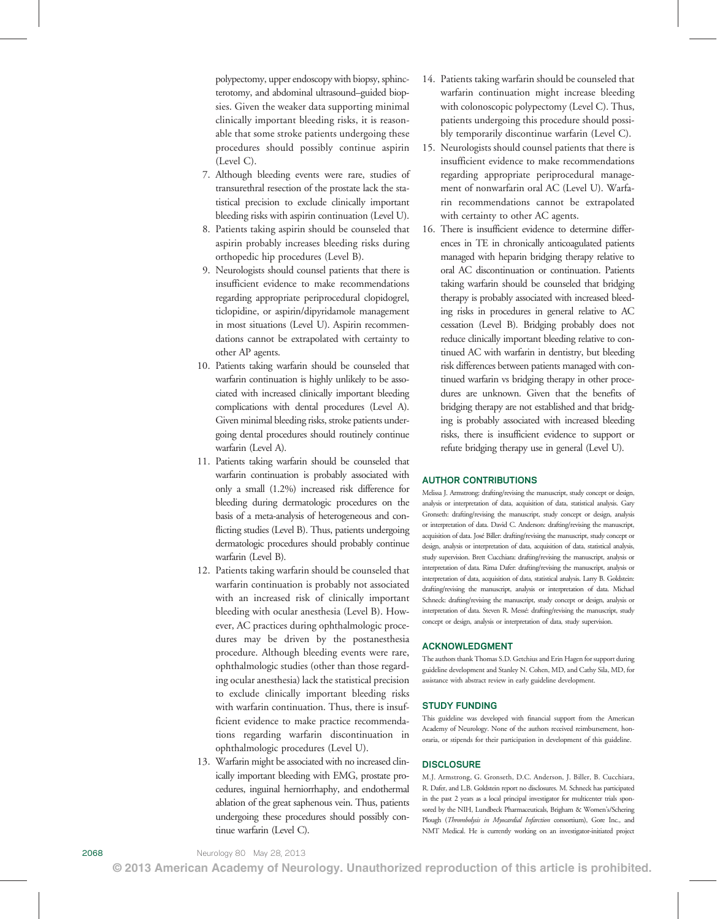polypectomy, upper endoscopy with biopsy, sphincterotomy, and abdominal ultrasound–guided biopsies. Given the weaker data supporting minimal clinically important bleeding risks, it is reasonable that some stroke patients undergoing these procedures should possibly continue aspirin (Level C).

- 7. Although bleeding events were rare, studies of transurethral resection of the prostate lack the statistical precision to exclude clinically important bleeding risks with aspirin continuation (Level U).
- 8. Patients taking aspirin should be counseled that aspirin probably increases bleeding risks during orthopedic hip procedures (Level B).
- 9. Neurologists should counsel patients that there is insufficient evidence to make recommendations regarding appropriate periprocedural clopidogrel, ticlopidine, or aspirin/dipyridamole management in most situations (Level U). Aspirin recommendations cannot be extrapolated with certainty to other AP agents.
- 10. Patients taking warfarin should be counseled that warfarin continuation is highly unlikely to be associated with increased clinically important bleeding complications with dental procedures (Level A). Given minimal bleeding risks, stroke patients undergoing dental procedures should routinely continue warfarin (Level A).
- 11. Patients taking warfarin should be counseled that warfarin continuation is probably associated with only a small (1.2%) increased risk difference for bleeding during dermatologic procedures on the basis of a meta-analysis of heterogeneous and conflicting studies (Level B). Thus, patients undergoing dermatologic procedures should probably continue warfarin (Level B).
- 12. Patients taking warfarin should be counseled that warfarin continuation is probably not associated with an increased risk of clinically important bleeding with ocular anesthesia (Level B). However, AC practices during ophthalmologic procedures may be driven by the postanesthesia procedure. Although bleeding events were rare, ophthalmologic studies (other than those regarding ocular anesthesia) lack the statistical precision to exclude clinically important bleeding risks with warfarin continuation. Thus, there is insufficient evidence to make practice recommendations regarding warfarin discontinuation in ophthalmologic procedures (Level U).
- 13. Warfarin might be associated with no increased clinically important bleeding with EMG, prostate procedures, inguinal herniorrhaphy, and endothermal ablation of the great saphenous vein. Thus, patients undergoing these procedures should possibly continue warfarin (Level C).
- 14. Patients taking warfarin should be counseled that warfarin continuation might increase bleeding with colonoscopic polypectomy (Level C). Thus, patients undergoing this procedure should possibly temporarily discontinue warfarin (Level C).
- 15. Neurologists should counsel patients that there is insufficient evidence to make recommendations regarding appropriate periprocedural management of nonwarfarin oral AC (Level U). Warfarin recommendations cannot be extrapolated with certainty to other AC agents.
- 16. There is insufficient evidence to determine differences in TE in chronically anticoagulated patients managed with heparin bridging therapy relative to oral AC discontinuation or continuation. Patients taking warfarin should be counseled that bridging therapy is probably associated with increased bleeding risks in procedures in general relative to AC cessation (Level B). Bridging probably does not reduce clinically important bleeding relative to continued AC with warfarin in dentistry, but bleeding risk differences between patients managed with continued warfarin vs bridging therapy in other procedures are unknown. Given that the benefits of bridging therapy are not established and that bridging is probably associated with increased bleeding risks, there is insufficient evidence to support or refute bridging therapy use in general (Level U).

## AUTHOR CONTRIBUTIONS

Melissa J. Armstrong: drafting/revising the manuscript, study concept or design, analysis or interpretation of data, acquisition of data, statistical analysis. Gary Gronseth: drafting/revising the manuscript, study concept or design, analysis or interpretation of data. David C. Anderson: drafting/revising the manuscript, acquisition of data. José Biller: drafting/revising the manuscript, study concept or design, analysis or interpretation of data, acquisition of data, statistical analysis, study supervision. Brett Cucchiara: drafting/revising the manuscript, analysis or interpretation of data. Rima Dafer: drafting/revising the manuscript, analysis or interpretation of data, acquisition of data, statistical analysis. Larry B. Goldstein: drafting/revising the manuscript, analysis or interpretation of data. Michael Schneck: drafting/revising the manuscript, study concept or design, analysis or interpretation of data. Steven R. Messé: drafting/revising the manuscript, study concept or design, analysis or interpretation of data, study supervision.

#### ACKNOWLEDGMENT

The authors thank Thomas S.D. Getchius and Erin Hagen for support during guideline development and Stanley N. Cohen, MD, and Cathy Sila, MD, for assistance with abstract review in early guideline development.

#### STUDY FUNDING

This guideline was developed with financial support from the American Academy of Neurology. None of the authors received reimbursement, honoraria, or stipends for their participation in development of this guideline.

#### **DISCLOSURE**

M.J. Armstrong, G. Gronseth, D.C. Anderson, J. Biller, B. Cucchiara, R. Dafer, and L.B. Goldstein report no disclosures. M. Schneck has participated in the past 2 years as a local principal investigator for multicenter trials sponsored by the NIH, Lundbeck Pharmaceuticals, Brigham & Women's/Schering Plough (Thrombolysis in Myocardial Infarction consortium), Gore Inc., and NMT Medical. He is currently working on an investigator-initiated project

© 2013 American Academy of Neurology. Unauthorized reproduction of this article is prohibited.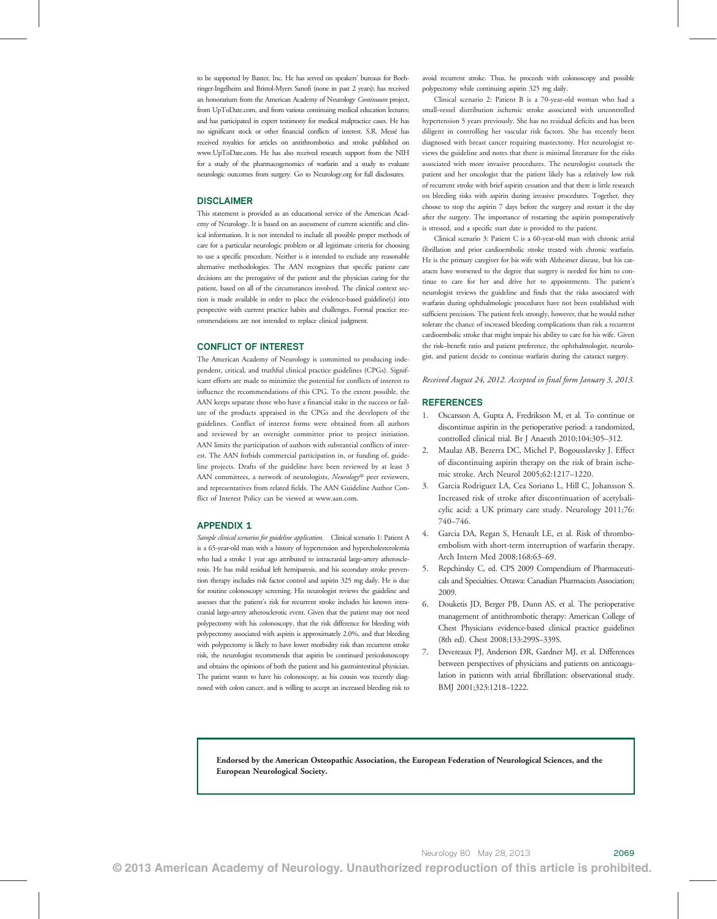to be supported by Baxter, Inc. He has served on speakers' bureaus for Boehringer-Ingelheim and Bristol-Myers Sanofi (none in past 2 years); has received an honorarium from the American Academy of Neurology Continuum project, from [UpToDate.com](http://UpToDate.com), and from various continuing medical education lectures; and has participated in expert testimony for medical malpractice cases. He has no significant stock or other financial conflicts of interest. S.R. Messé has received royalties for articles on antithrombotics and stroke published on [www.UpToDate.com.](http://www.UpToDate.com) He has also received research support from the NIH for a study of the pharmacogenomics of warfarin and a study to evaluate neurologic outcomes from surgery. Go to [Neurology.org](http://neurology.org/) for full disclosures.

#### DISCLAIMER

This statement is provided as an educational service of the American Academy of Neurology. It is based on an assessment of current scientific and clinical information. It is not intended to include all possible proper methods of care for a particular neurologic problem or all legitimate criteria for choosing to use a specific procedure. Neither is it intended to exclude any reasonable alternative methodologies. The AAN recognizes that specific patient care decisions are the prerogative of the patient and the physician caring for the patient, based on all of the circumstances involved. The clinical context section is made available in order to place the evidence-based guideline(s) into perspective with current practice habits and challenges. Formal practice recommendations are not intended to replace clinical judgment.

### CONFLICT OF INTEREST

The American Academy of Neurology is committed to producing independent, critical, and truthful clinical practice guidelines (CPGs). Significant efforts are made to minimize the potential for conflicts of interest to influence the recommendations of this CPG. To the extent possible, the AAN keeps separate those who have a financial stake in the success or failure of the products appraised in the CPGs and the developers of the guidelines. Conflict of interest forms were obtained from all authors and reviewed by an oversight committee prior to project initiation. AAN limits the participation of authors with substantial conflicts of interest. The AAN forbids commercial participation in, or funding of, guideline projects. Drafts of the guideline have been reviewed by at least 3 AAN committees, a network of neurologists, Neurology® peer reviewers, and representatives from related fields. The AAN Guideline Author Conflict of Interest Policy can be viewed at [www.aan.com.](http://www.aan.com)

#### APPENDIX 1

Sample clinical scenarios for guideline application. Clinical scenario 1: Patient A is a 65-year-old man with a history of hypertension and hypercholesterolemia who had a stroke 1 year ago attributed to intracranial large-artery atherosclerosis. He has mild residual left hemiparesis, and his secondary stroke prevention therapy includes risk factor control and aspirin 325 mg daily. He is due for routine colonoscopy screening. His neurologist reviews the guideline and assesses that the patient's risk for recurrent stroke includes his known intracranial large-artery atherosclerotic event. Given that the patient may not need polypectomy with his colonoscopy, that the risk difference for bleeding with polypectomy associated with aspirin is approximately 2.0%, and that bleeding with polypectomy is likely to have lower morbidity risk than recurrent stroke risk, the neurologist recommends that aspirin be continued pericolonoscopy and obtains the opinions of both the patient and his gastrointestinal physician. The patient wants to have his colonoscopy, as his cousin was recently diagnosed with colon cancer, and is willing to accept an increased bleeding risk to avoid recurrent stroke. Thus, he proceeds with colonoscopy and possible polypectomy while continuing aspirin 325 mg daily.

Clinical scenario 2: Patient B is a 70-year-old woman who had a small-vessel distribution ischemic stroke associated with uncontrolled hypertension 5 years previously. She has no residual deficits and has been diligent in controlling her vascular risk factors. She has recently been diagnosed with breast cancer requiring mastectomy. Her neurologist reviews the guideline and notes that there is minimal literature for the risks associated with more invasive procedures. The neurologist counsels the patient and her oncologist that the patient likely has a relatively low risk of recurrent stroke with brief aspirin cessation and that there is little research on bleeding risks with aspirin during invasive procedures. Together, they choose to stop the aspirin 7 days before the surgery and restart it the day after the surgery. The importance of restarting the aspirin postoperatively is stressed, and a specific start date is provided to the patient.

Clinical scenario 3: Patient C is a 60-year-old man with chronic atrial fibrillation and prior cardioembolic stroke treated with chronic warfarin. He is the primary caregiver for his wife with Alzheimer disease, but his cataracts have worsened to the degree that surgery is needed for him to continue to care for her and drive her to appointments. The patient's neurologist reviews the guideline and finds that the risks associated with warfarin during ophthalmologic procedures have not been established with sufficient precision. The patient feels strongly, however, that he would rather tolerate the chance of increased bleeding complications than risk a recurrent cardioembolic stroke that might impair his ability to care for his wife. Given the risk–benefit ratio and patient preference, the ophthalmologist, neurologist, and patient decide to continue warfarin during the cataract surgery.

Received August 24, 2012. Accepted in final form January 3, 2013.

#### REFERENCES

- 1. Oscarsson A, Gupta A, Fredrikson M, et al. To continue or discontinue aspirin in the perioperative period: a randomized, controlled clinical trial. Br J Anaesth 2010;104:305–312.
- 2. Maulaz AB, Bezerra DC, Michel P, Bogousslavsky J. Effect of discontinuing aspirin therapy on the risk of brain ischemic stroke. Arch Neurol 2005;62:1217–1220.
- 3. Garcia Rodriguez LA, Cea Soriano L, Hill C, Johansson S. Increased risk of stroke after discontinuation of acetylsalicylic acid: a UK primary care study. Neurology 2011;76: 740–746.
- 4. Garcia DA, Regan S, Henault LE, et al. Risk of thromboembolism with short-term interruption of warfarin therapy. Arch Intern Med 2008;168:63–69.
- 5. Repchinsky C, ed. CPS 2009 Compendium of Pharmaceuticals and Specialties. Ottawa: Canadian Pharmacists Association; 2009.
- 6. Douketis JD, Berger PB, Dunn AS, et al. The perioperative management of antithrombotic therapy: American College of Chest Physicians evidence-based clinical practice guidelines (8th ed). Chest 2008;133:299S–339S.
- 7. Devereaux PJ, Anderson DR, Gardner MJ, et al. Differences between perspectives of physicians and patients on anticoagulation in patients with atrial fibrillation: observational study. BMJ 2001;323:1218–1222.

Endorsed by the American Osteopathic Association, the European Federation of Neurological Sciences, and the European Neurological Society.

© 2013 American Academy of Neurology. Unauthorized reproduction of this article is prohibited.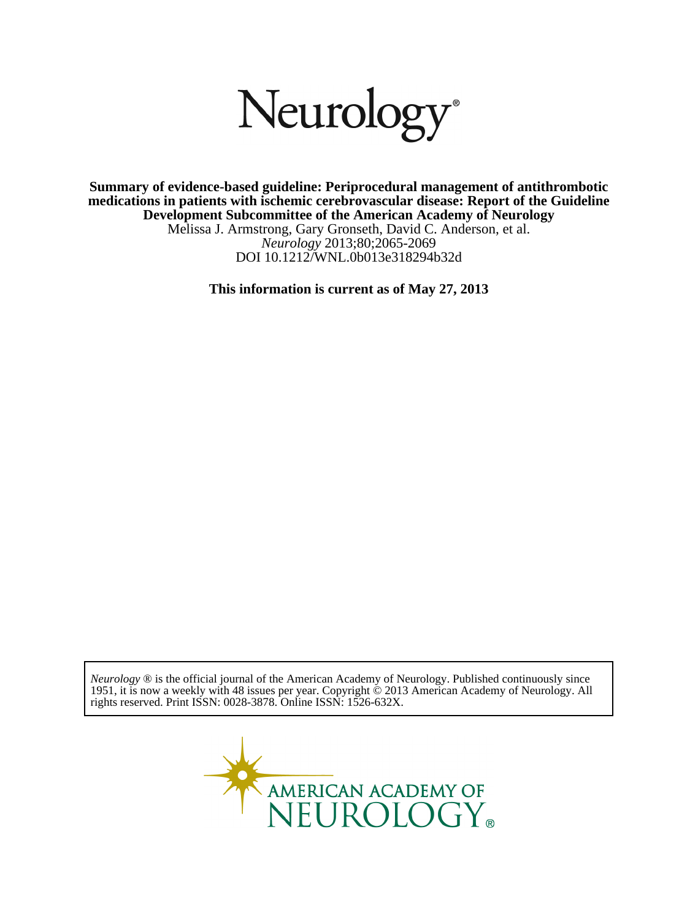# Neurology®

DOI 10.1212/WNL.0b013e318294b32d *Neurology* 2013;80;2065-2069 Melissa J. Armstrong, Gary Gronseth, David C. Anderson, et al. **Development Subcommittee of the American Academy of Neurology medications in patients with ischemic cerebrovascular disease: Report of the Guideline Summary of evidence-based guideline: Periprocedural management of antithrombotic**

**This information is current as of May 27, 2013**

rights reserved. Print ISSN: 0028-3878. Online ISSN: 1526-632X. 1951, it is now a weekly with 48 issues per year. Copyright © 2013 American Academy of Neurology. All *Neurology* ® is the official journal of the American Academy of Neurology. Published continuously since